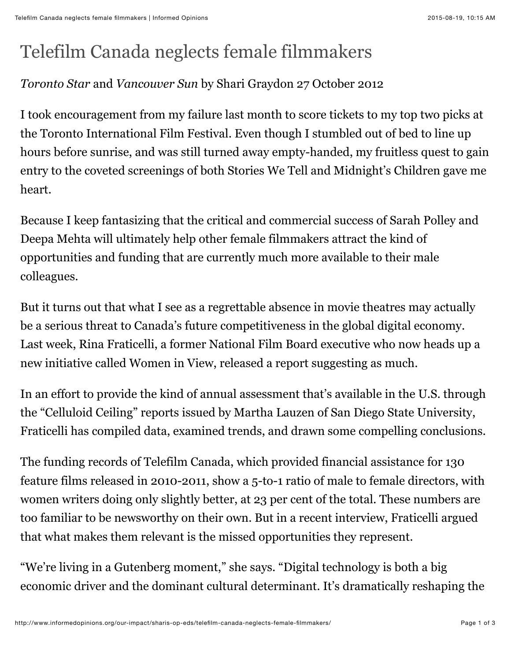## Telefilm Canada neglects female filmmakers

## *Toronto Star* and *Vancouver Sun* by Shari Graydon 27 October 2012

I took encouragement from my failure last month to score tickets to my top two picks at the Toronto International Film Festival. Even though I stumbled out of bed to line up hours before sunrise, and was still turned away empty-handed, my fruitless quest to gain entry to the coveted screenings of both Stories We Tell and Midnight's Children gave me heart.

Because I keep fantasizing that the critical and commercial success of Sarah Polley and Deepa Mehta will ultimately help other female filmmakers attract the kind of opportunities and funding that are currently much more available to their male colleagues.

But it turns out that what I see as a regrettable absence in movie theatres may actually be a serious threat to Canada's future competitiveness in the global digital economy. Last week, Rina Fraticelli, a former National Film Board executive who now heads up a new initiative called Women in View, released a report suggesting as much.

In an effort to provide the kind of annual assessment that's available in the U.S. through the "Celluloid Ceiling" reports issued by Martha Lauzen of San Diego State University, Fraticelli has compiled data, examined trends, and drawn some compelling conclusions.

The funding records of Telefilm Canada, which provided financial assistance for 130 feature films released in 2010-2011, show a 5-to-1 ratio of male to female directors, with women writers doing only slightly better, at 23 per cent of the total. These numbers are too familiar to be newsworthy on their own. But in a recent interview, Fraticelli argued that what makes them relevant is the missed opportunities they represent.

"We're living in a Gutenberg moment," she says. "Digital technology is both a big economic driver and the dominant cultural determinant. It's dramatically reshaping the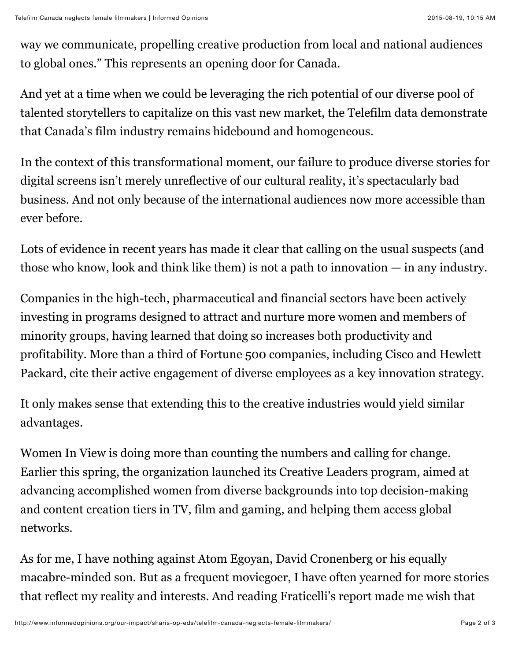way we communicate, propelling creative production from local and national audiences to global ones." This represents an opening door for Canada.

And yet at a time when we could be leveraging the rich potential of our diverse pool of talented storytellers to capitalize on this vast new market, the Telefilm data demonstrate that Canada's film industry remains hidebound and homogeneous.

In the context of this transformational moment, our failure to produce diverse stories for digital screens isn't merely unreflective of our cultural reality, it's spectacularly bad business. And not only because of the international audiences now more accessible than ever before.

Lots of evidence in recent years has made it clear that calling on the usual suspects (and those who know, look and think like them) is not a path to innovation — in any industry.

Companies in the high-tech, pharmaceutical and financial sectors have been actively investing in programs designed to attract and nurture more women and members of minority groups, having learned that doing so increases both productivity and profitability. More than a third of Fortune 500 companies, including Cisco and Hewlett Packard, cite their active engagement of diverse employees as a key innovation strategy.

It only makes sense that extending this to the creative industries would yield similar advantages.

Women In View is doing more than counting the numbers and calling for change. Earlier this spring, the organization launched its Creative Leaders program, aimed at advancing accomplished women from diverse backgrounds into top decision-making and content creation tiers in TV, film and gaming, and helping them access global networks.

As for me, I have nothing against Atom Egoyan, David Cronenberg or his equally macabre-minded son. But as a frequent moviegoer, I have often yearned for more stories that reflect my reality and interests. And reading Fraticelli's report made me wish that